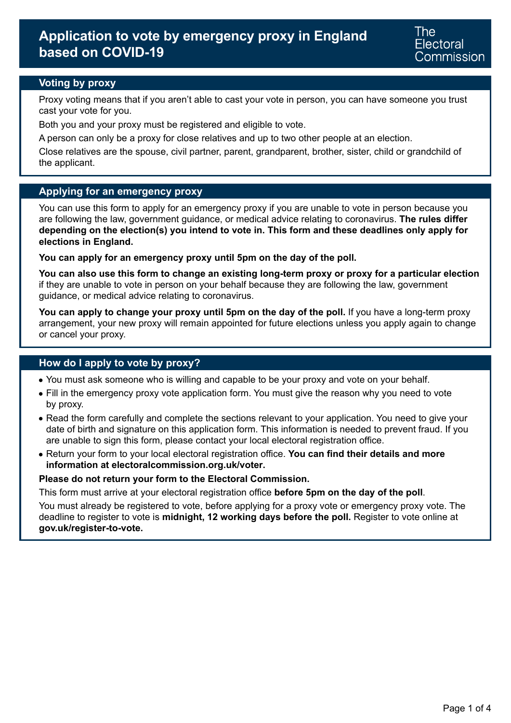## **Voting by proxy**

Proxy voting means that if you aren't able to cast your vote in person, you can have someone you trust cast your vote for you.

Both you and your proxy must be registered and eligible to vote.

A person can only be a proxy for close relatives and up to two other people at an election.

Close relatives are the spouse, civil partner, parent, grandparent, brother, sister, child or grandchild of the applicant.

## **Applying for an emergency proxy**

You can use this form to apply for an emergency proxy if you are unable to vote in person because you are following the law, government guidance, or medical advice relating to coronavirus. **The rules differ depending on the election(s) you intend to vote in. This form and these deadlines only apply for elections in England.** 

**You can apply for an emergency proxy until 5pm on the day of the poll.** 

**You can also use this form to change an existing long-term proxy or proxy for a particular election**  if they are unable to vote in person on your behalf because they are following the law, government guidance, or medical advice relating to coronavirus.

You can apply to change your proxy until 5pm on the day of the poll. If you have a long-term proxy arrangement, your new proxy will remain appointed for future elections unless you apply again to change or cancel your proxy.

### **How do I apply to vote by proxy?**

- You must ask someone who is willing and capable to be your proxy and vote on your behalf.
- Fill in the emergency proxy vote application form. You must give the reason why you need to vote by proxy.
- Read the form carefully and complete the sections relevant to your application. You need to give your date of birth and signature on this application form. This information is needed to prevent fraud. If you are unable to sign this form, please contact your local electoral registration office.
- Return your form to your local electoral registration office. **You can find their details and more information at [electoralcommission.org.uk/voter](https://www.electoralcommission.org.uk/i-am-a/voter).**

### **Please do not return your form to the Electoral Commission.**

This form must arrive at your electoral registration office **before 5pm on the day of the poll**.

You must already be registered to vote, before applying for a proxy vote or emergency proxy vote. The deadline to register to vote is **midnight, 12 working days before the poll.** Register to vote online at **[gov.uk/register-to-vote.](https://www.gov.uk/register-to-vote)**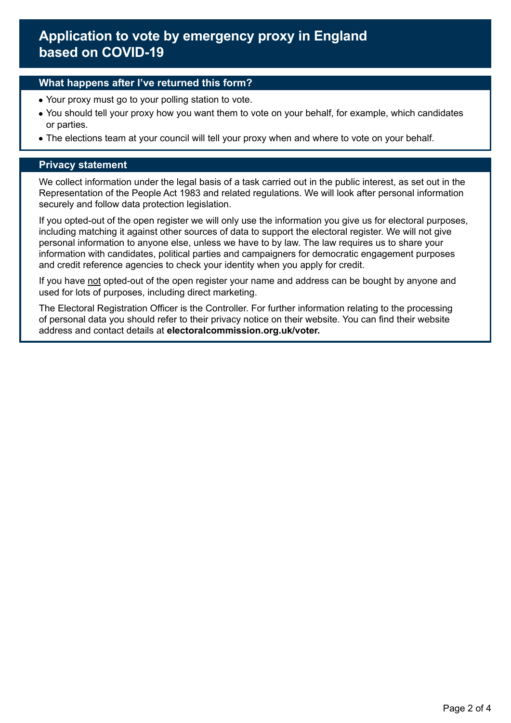### **What happens after I've returned this form?**

- Your proxy must go to your polling station to vote.
- You should tell your proxy how you want them to vote on your behalf, for example, which candidates or parties.
- The elections team at your council will tell your proxy when and where to vote on your behalf.

### **Privacy statement**

We collect information under the legal basis of a task carried out in the public interest, as set out in the Representation of the People Act 1983 and related regulations. We will look after personal information securely and follow data protection legislation.

If you opted-out of the open register we will only use the information you give us for electoral purposes, including matching it against other sources of data to support the electoral register. We will not give personal information to anyone else, unless we have to by law. The law requires us to share your information with candidates, political parties and campaigners for democratic engagement purposes and credit reference agencies to check your identity when you apply for credit.

If you have not opted-out of the open register your name and address can be bought by anyone and used for lots of purposes, including direct marketing.

The Electoral Registration Officer is the Controller. For further information relating to the processing of personal data you should refer to their privacy notice on their website. You can find their website address and contact details at **[electoralcommission.org.uk/voter.](https://www.electoralcommission.org.uk/i-am-a/voter)**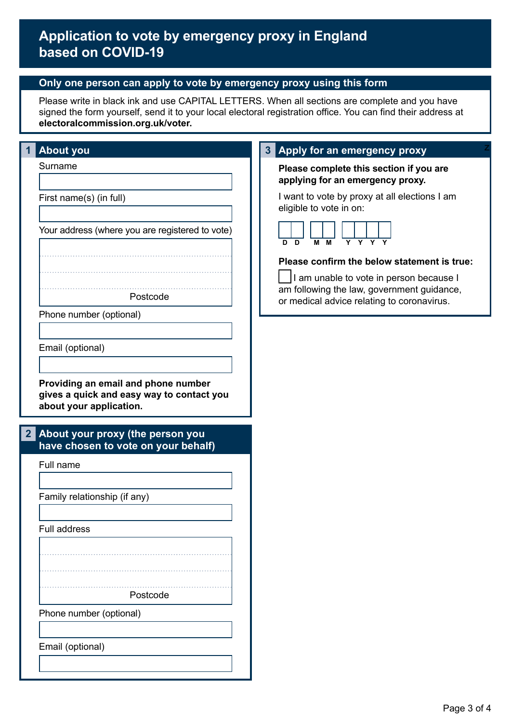## **Only one person can apply to vote by emergency proxy using this form**

Please write in black ink and use CAPITAL LETTERS. When all sections are complete and you have signed the form yourself, send it to your local electoral registration office. You can find their address at **[electoralcommission.org.uk/voter.](https://www.electoralcommission.org.uk/i-am-a/voter)** 

| <b>About you</b>                                                                                            | Apply for an emergency proxy                                                             |
|-------------------------------------------------------------------------------------------------------------|------------------------------------------------------------------------------------------|
| Surname                                                                                                     | Please complete this section if you are<br>applying for an emergency proxy.              |
| First name(s) (in full)                                                                                     | I want to vote by proxy at all elections I am<br>eligible to vote in on:                 |
| Your address (where you are registered to vote)                                                             | $Y$ $Y$ $Y$ $Y$<br>M M<br>D<br>D.                                                        |
|                                                                                                             | Please confirm the below statement is true:                                              |
|                                                                                                             | I am unable to vote in person because I                                                  |
| Postcode                                                                                                    | am following the law, government guidance,<br>or medical advice relating to coronavirus. |
| Phone number (optional)                                                                                     |                                                                                          |
|                                                                                                             |                                                                                          |
| Email (optional)                                                                                            |                                                                                          |
|                                                                                                             |                                                                                          |
| Providing an email and phone number<br>gives a quick and easy way to contact you<br>about your application. |                                                                                          |
| 2 <br>About your proxy (the person you                                                                      |                                                                                          |
| have chosen to vote on your behalf)                                                                         |                                                                                          |
| Full name                                                                                                   |                                                                                          |
|                                                                                                             |                                                                                          |
| Family relationship (if any)                                                                                |                                                                                          |
| Full address                                                                                                |                                                                                          |
|                                                                                                             |                                                                                          |
|                                                                                                             |                                                                                          |
|                                                                                                             |                                                                                          |
| Postcode                                                                                                    |                                                                                          |
| Phone number (optional)                                                                                     |                                                                                          |
|                                                                                                             |                                                                                          |
| Email (optional)                                                                                            |                                                                                          |
|                                                                                                             |                                                                                          |